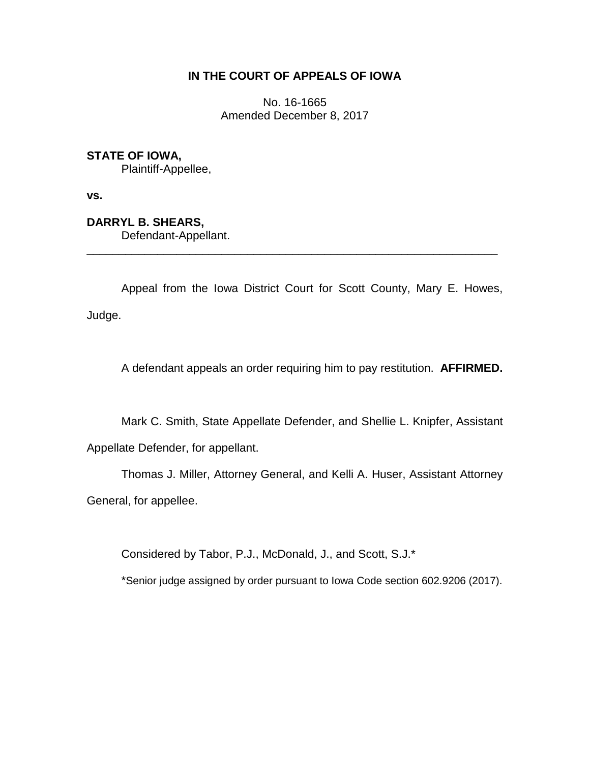# **IN THE COURT OF APPEALS OF IOWA**

No. 16-1665 Amended December 8, 2017

# **STATE OF IOWA,**

Plaintiff-Appellee,

**vs.**

**DARRYL B. SHEARS,**

Defendant-Appellant.

Appeal from the Iowa District Court for Scott County, Mary E. Howes, Judge.

\_\_\_\_\_\_\_\_\_\_\_\_\_\_\_\_\_\_\_\_\_\_\_\_\_\_\_\_\_\_\_\_\_\_\_\_\_\_\_\_\_\_\_\_\_\_\_\_\_\_\_\_\_\_\_\_\_\_\_\_\_\_\_\_

A defendant appeals an order requiring him to pay restitution. **AFFIRMED.**

Mark C. Smith, State Appellate Defender, and Shellie L. Knipfer, Assistant Appellate Defender, for appellant.

Thomas J. Miller, Attorney General, and Kelli A. Huser, Assistant Attorney General, for appellee.

Considered by Tabor, P.J., McDonald, J., and Scott, S.J.\*

\*Senior judge assigned by order pursuant to Iowa Code section 602.9206 (2017).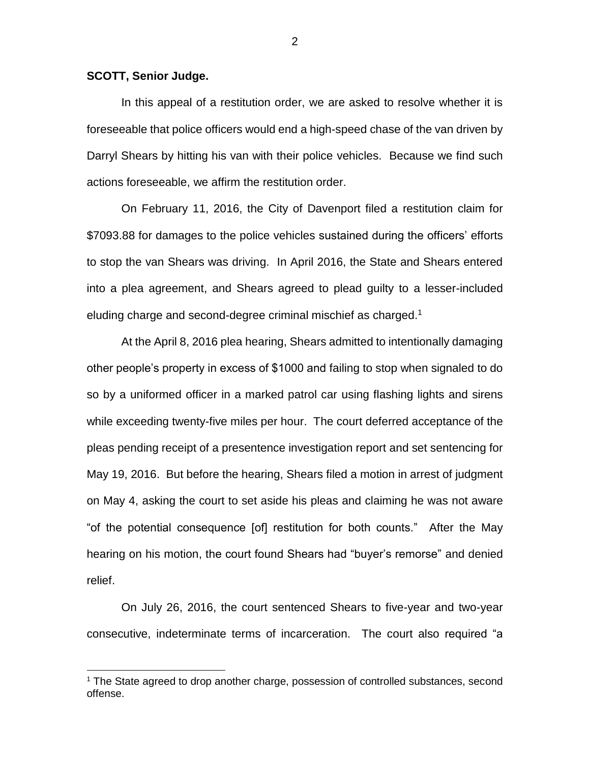### **SCOTT, Senior Judge.**

 $\overline{a}$ 

In this appeal of a restitution order, we are asked to resolve whether it is foreseeable that police officers would end a high-speed chase of the van driven by Darryl Shears by hitting his van with their police vehicles. Because we find such actions foreseeable, we affirm the restitution order.

On February 11, 2016, the City of Davenport filed a restitution claim for \$7093.88 for damages to the police vehicles sustained during the officers' efforts to stop the van Shears was driving. In April 2016, the State and Shears entered into a plea agreement, and Shears agreed to plead guilty to a lesser-included eluding charge and second-degree criminal mischief as charged. 1

At the April 8, 2016 plea hearing, Shears admitted to intentionally damaging other people's property in excess of \$1000 and failing to stop when signaled to do so by a uniformed officer in a marked patrol car using flashing lights and sirens while exceeding twenty-five miles per hour. The court deferred acceptance of the pleas pending receipt of a presentence investigation report and set sentencing for May 19, 2016. But before the hearing, Shears filed a motion in arrest of judgment on May 4, asking the court to set aside his pleas and claiming he was not aware "of the potential consequence [of] restitution for both counts." After the May hearing on his motion, the court found Shears had "buyer's remorse" and denied relief.

On July 26, 2016, the court sentenced Shears to five-year and two-year consecutive, indeterminate terms of incarceration. The court also required "a

<sup>&</sup>lt;sup>1</sup> The State agreed to drop another charge, possession of controlled substances, second offense.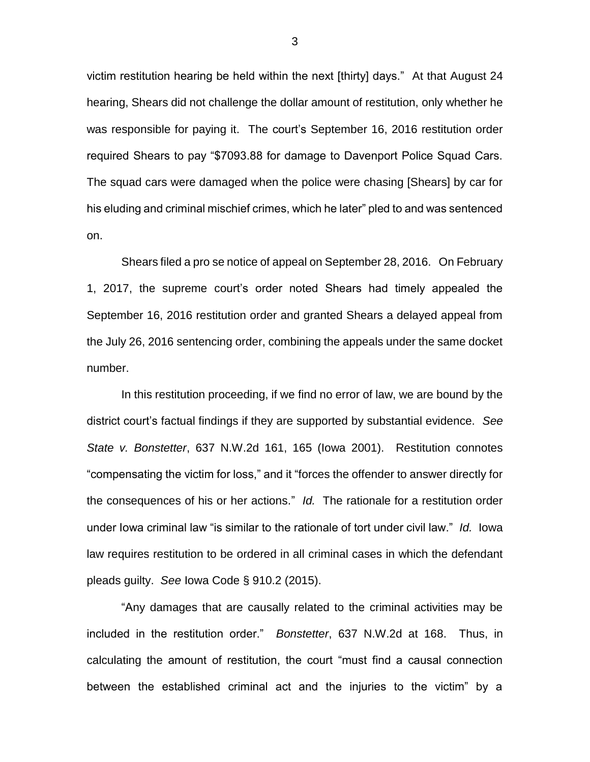victim restitution hearing be held within the next [thirty] days." At that August 24 hearing, Shears did not challenge the dollar amount of restitution, only whether he was responsible for paying it. The court's September 16, 2016 restitution order required Shears to pay "\$7093.88 for damage to Davenport Police Squad Cars. The squad cars were damaged when the police were chasing [Shears] by car for his eluding and criminal mischief crimes, which he later" pled to and was sentenced on.

Shears filed a pro se notice of appeal on September 28, 2016. On February 1, 2017, the supreme court's order noted Shears had timely appealed the September 16, 2016 restitution order and granted Shears a delayed appeal from the July 26, 2016 sentencing order, combining the appeals under the same docket number.

In this restitution proceeding, if we find no error of law, we are bound by the district court's factual findings if they are supported by substantial evidence. *See State v. Bonstetter*, 637 N.W.2d 161, 165 (Iowa 2001). Restitution connotes "compensating the victim for loss," and it "forces the offender to answer directly for the consequences of his or her actions." *Id.* The rationale for a restitution order under Iowa criminal law "is similar to the rationale of tort under civil law." *Id.* Iowa law requires restitution to be ordered in all criminal cases in which the defendant pleads guilty. *See* Iowa Code § 910.2 (2015).

"Any damages that are causally related to the criminal activities may be included in the restitution order." *Bonstetter*, 637 N.W.2d at 168. Thus, in calculating the amount of restitution, the court "must find a causal connection between the established criminal act and the injuries to the victim" by a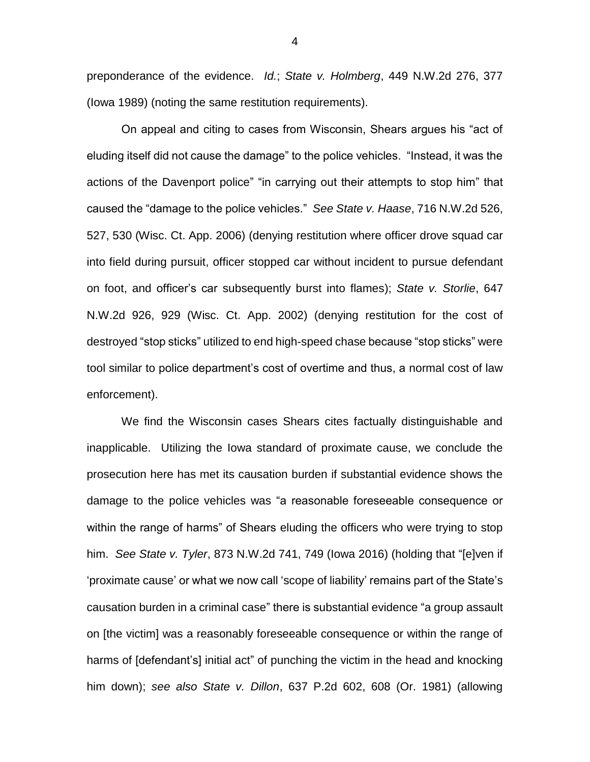preponderance of the evidence. *Id.*; *State v. Holmberg*, 449 N.W.2d 276, 377 (Iowa 1989) (noting the same restitution requirements).

On appeal and citing to cases from Wisconsin, Shears argues his "act of eluding itself did not cause the damage" to the police vehicles. "Instead, it was the actions of the Davenport police" "in carrying out their attempts to stop him" that caused the "damage to the police vehicles." *See State v. Haase*, 716 N.W.2d 526, 527, 530 (Wisc. Ct. App. 2006) (denying restitution where officer drove squad car into field during pursuit, officer stopped car without incident to pursue defendant on foot, and officer's car subsequently burst into flames); *State v. Storlie*, 647 N.W.2d 926, 929 (Wisc. Ct. App. 2002) (denying restitution for the cost of destroyed "stop sticks" utilized to end high-speed chase because "stop sticks" were tool similar to police department's cost of overtime and thus, a normal cost of law enforcement).

We find the Wisconsin cases Shears cites factually distinguishable and inapplicable. Utilizing the Iowa standard of proximate cause, we conclude the prosecution here has met its causation burden if substantial evidence shows the damage to the police vehicles was "a reasonable foreseeable consequence or within the range of harms" of Shears eluding the officers who were trying to stop him. *See State v. Tyler*, 873 N.W.2d 741, 749 (Iowa 2016) (holding that "[e]ven if 'proximate cause' or what we now call 'scope of liability' remains part of the State's causation burden in a criminal case" there is substantial evidence "a group assault on [the victim] was a reasonably foreseeable consequence or within the range of harms of [defendant's] initial act" of punching the victim in the head and knocking him down); *see also State v. Dillon*, 637 P.2d 602, 608 (Or. 1981) (allowing

4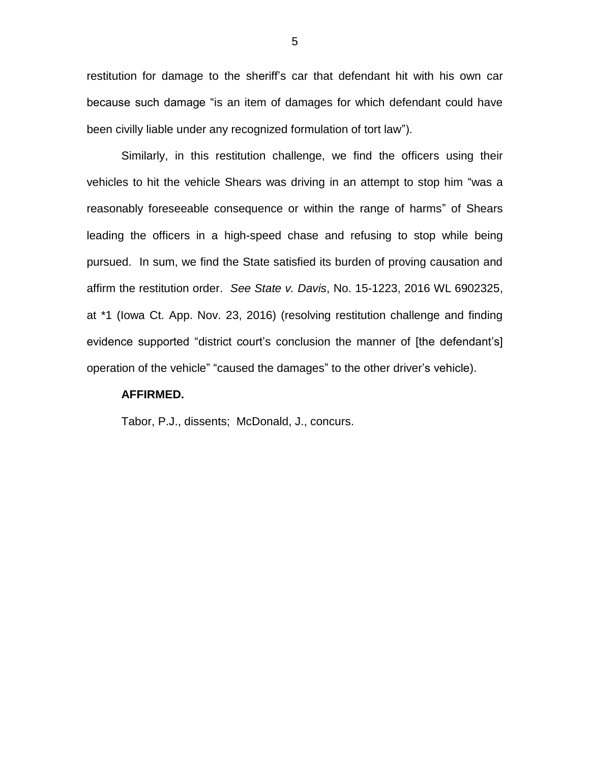restitution for damage to the sheriff's car that defendant hit with his own car because such damage "is an item of damages for which defendant could have been civilly liable under any recognized formulation of tort law").

Similarly, in this restitution challenge, we find the officers using their vehicles to hit the vehicle Shears was driving in an attempt to stop him "was a reasonably foreseeable consequence or within the range of harms" of Shears leading the officers in a high-speed chase and refusing to stop while being pursued. In sum, we find the State satisfied its burden of proving causation and affirm the restitution order. *See State v. Davis*, No. 15-1223, 2016 WL 6902325, at \*1 (Iowa Ct. App. Nov. 23, 2016) (resolving restitution challenge and finding evidence supported "district court's conclusion the manner of [the defendant's] operation of the vehicle" "caused the damages" to the other driver's vehicle).

#### **AFFIRMED.**

Tabor, P.J., dissents; McDonald, J., concurs.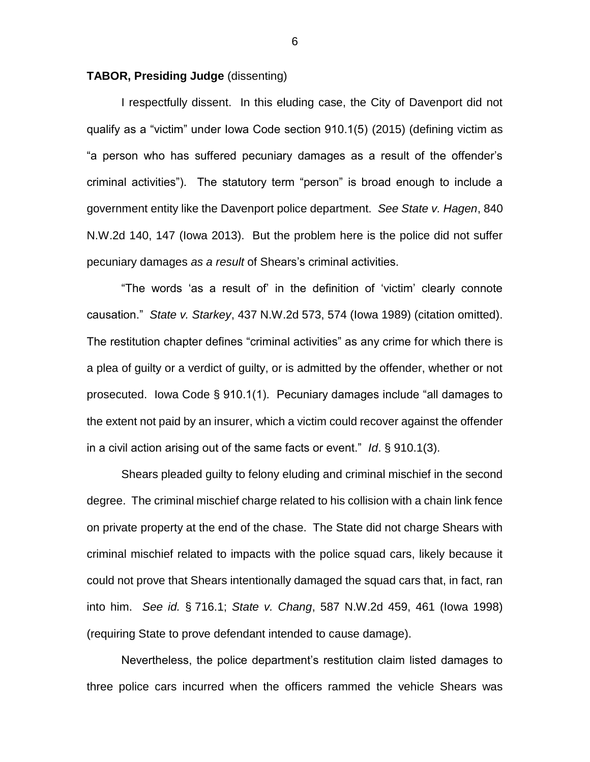### **TABOR, Presiding Judge** (dissenting)

I respectfully dissent. In this eluding case, the City of Davenport did not qualify as a "victim" under Iowa Code section 910.1(5) (2015) (defining victim as "a person who has suffered pecuniary damages as a result of the offender's criminal activities"). The statutory term "person" is broad enough to include a government entity like the Davenport police department. *See State v. Hagen*, 840 N.W.2d 140, 147 (Iowa 2013). But the problem here is the police did not suffer pecuniary damages *as a result* of Shears's criminal activities.

"The words 'as a result of' in the definition of 'victim' clearly connote causation." *State v. Starkey*, 437 N.W.2d 573, 574 (Iowa 1989) (citation omitted). The restitution chapter defines "criminal activities" as any crime for which there is a plea of guilty or a verdict of guilty, or is admitted by the offender, whether or not prosecuted. Iowa Code § 910.1(1). Pecuniary damages include "all damages to the extent not paid by an insurer, which a victim could recover against the offender in a civil action arising out of the same facts or event." *Id*. § 910.1(3).

Shears pleaded guilty to felony eluding and criminal mischief in the second degree. The criminal mischief charge related to his collision with a chain link fence on private property at the end of the chase. The State did not charge Shears with criminal mischief related to impacts with the police squad cars, likely because it could not prove that Shears intentionally damaged the squad cars that, in fact, ran into him. *See id.* § 716.1; *State v. Chang*, 587 N.W.2d 459, 461 (Iowa 1998) (requiring State to prove defendant intended to cause damage).

Nevertheless, the police department's restitution claim listed damages to three police cars incurred when the officers rammed the vehicle Shears was

6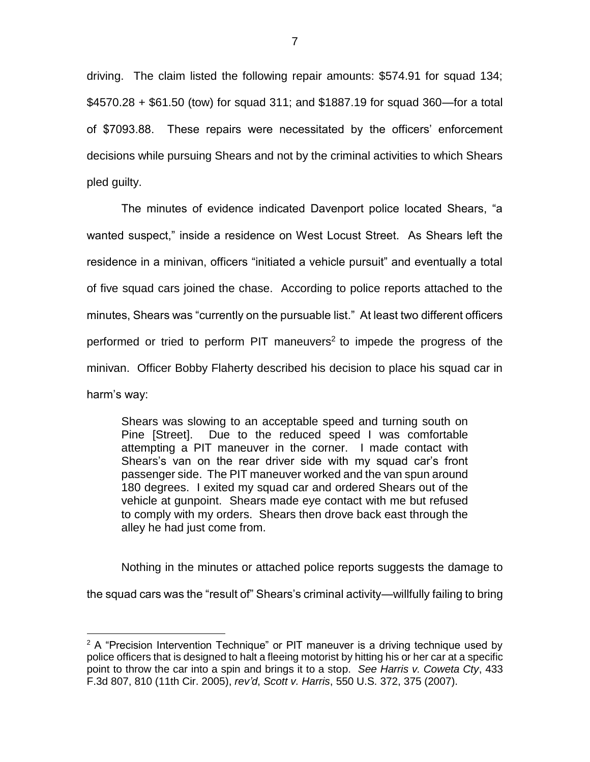driving. The claim listed the following repair amounts: \$574.91 for squad 134; \$4570.28 + \$61.50 (tow) for squad 311; and \$1887.19 for squad 360—for a total of \$7093.88. These repairs were necessitated by the officers' enforcement decisions while pursuing Shears and not by the criminal activities to which Shears pled guilty.

The minutes of evidence indicated Davenport police located Shears, "a wanted suspect," inside a residence on West Locust Street. As Shears left the residence in a minivan, officers "initiated a vehicle pursuit" and eventually a total of five squad cars joined the chase. According to police reports attached to the minutes, Shears was "currently on the pursuable list." At least two different officers performed or tried to perform PIT maneuvers<sup>2</sup> to impede the progress of the minivan. Officer Bobby Flaherty described his decision to place his squad car in harm's way:

Shears was slowing to an acceptable speed and turning south on Pine [Street]. Due to the reduced speed I was comfortable attempting a PIT maneuver in the corner. I made contact with Shears's van on the rear driver side with my squad car's front passenger side. The PIT maneuver worked and the van spun around 180 degrees. I exited my squad car and ordered Shears out of the vehicle at gunpoint. Shears made eye contact with me but refused to comply with my orders. Shears then drove back east through the alley he had just come from.

Nothing in the minutes or attached police reports suggests the damage to the squad cars was the "result of" Shears's criminal activity—willfully failing to bring

 $\overline{a}$ 

 $2$  A "Precision Intervention Technique" or PIT maneuver is a driving technique used by police officers that is designed to halt a fleeing motorist by hitting his or her car at a specific point to throw the car into a spin and brings it to a stop. *See Harris v. Coweta Cty*, 433 F.3d 807, 810 (11th Cir. 2005), *rev'd*, *Scott v. Harris*, 550 U.S. 372, 375 (2007).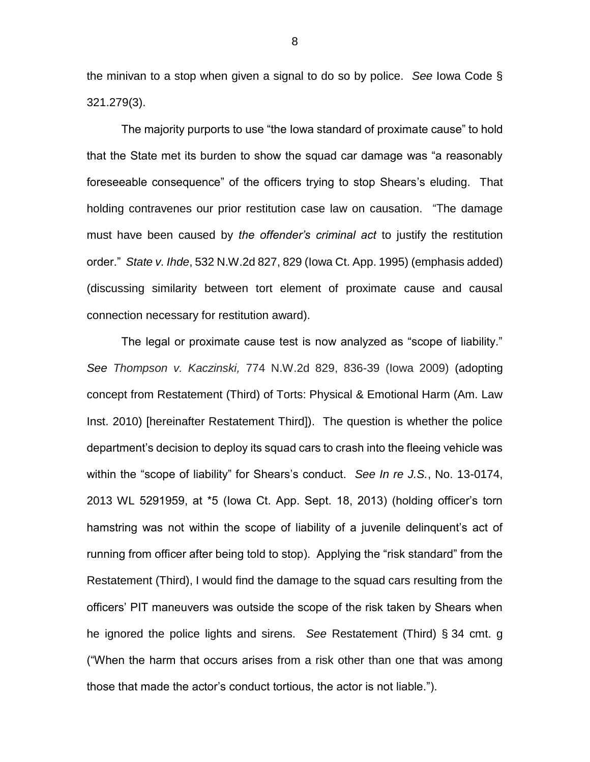the minivan to a stop when given a signal to do so by police. *See* Iowa Code § 321.279(3).

The majority purports to use "the Iowa standard of proximate cause" to hold that the State met its burden to show the squad car damage was "a reasonably foreseeable consequence" of the officers trying to stop Shears's eluding. That holding contravenes our prior restitution case law on causation. "The damage must have been caused by *the offender's criminal act* to justify the restitution order." *State v. Ihde*, 532 N.W.2d 827, 829 (Iowa Ct. App. 1995) (emphasis added) (discussing similarity between tort element of proximate cause and causal connection necessary for restitution award).

The legal or proximate cause test is now analyzed as "scope of liability." *See Thompson v. Kaczinski,* 774 N.W.2d 829, 836-39 (Iowa 2009) (adopting concept from Restatement (Third) of Torts: Physical & Emotional Harm (Am. Law Inst. 2010) [hereinafter Restatement Third]). The question is whether the police department's decision to deploy its squad cars to crash into the fleeing vehicle was within the "scope of liability" for Shears's conduct. *See In re J.S.*, No. 13-0174, 2013 WL 5291959, at \*5 (Iowa Ct. App. Sept. 18, 2013) (holding officer's torn hamstring was not within the scope of liability of a juvenile delinquent's act of running from officer after being told to stop). Applying the "risk standard" from the Restatement (Third), I would find the damage to the squad cars resulting from the officers' PIT maneuvers was outside the scope of the risk taken by Shears when he ignored the police lights and sirens. *See* Restatement (Third) § 34 cmt. g ("When the harm that occurs arises from a risk other than one that was among those that made the actor's conduct tortious, the actor is not liable.").